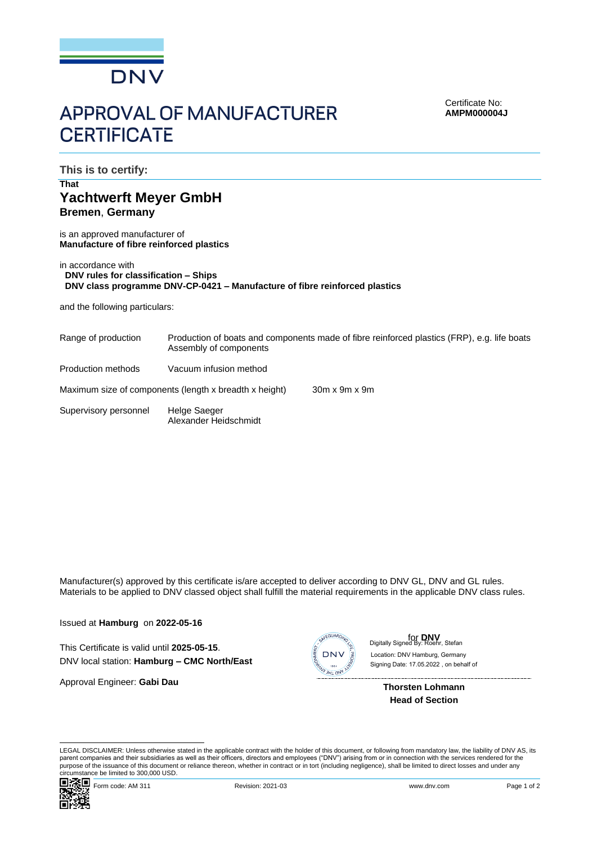

## **APPROVAL OF MANUFACTURER CERTIFICATE**

Certificate No: **AMPM000004J**

**This is to certify:**

## **That Yachtwerft Meyer GmbH Bremen**, **Germany**

is an approved manufacturer of **Manufacture of fibre reinforced plastics**

| in accordance with                                                         |  |
|----------------------------------------------------------------------------|--|
| DNV rules for classification – Ships                                       |  |
| DNV class programme DNV-CP-0421 – Manufacture of fibre reinforced plastics |  |

and the following particulars:

| Range of production                                    | Production of boats and components made of fibre reinforced plastics (FRP), e.g. life boats<br>Assembly of components |                           |  |
|--------------------------------------------------------|-----------------------------------------------------------------------------------------------------------------------|---------------------------|--|
| Production methods                                     | Vacuum infusion method                                                                                                |                           |  |
| Maximum size of components (length x breadth x height) |                                                                                                                       | $30m \times 9m \times 9m$ |  |
| Supervisory personnel                                  | Helge Saeger<br>Alexander Heidschmidt                                                                                 |                           |  |

Manufacturer(s) approved by this certificate is/are accepted to deliver according to DNV GL, DNV and GL rules. Materials to be applied to DNV classed object shall fulfill the material requirements in the applicable DNV class rules.

Issued at **Hamburg** on **2022-05-16**

This Certificate is valid until **2025-05-15**. DNV local station: **Hamburg – CMC North/East**

Approval Engineer: **Gabi Dau**



for **DNV** Digitally Signed By: Roehr, Stefan Signing Date: 17.05.2022 , on behalf ofLocation: DNV Hamburg, Germany

> **Thorsten Lohmann Head of Section**

LEGAL DISCLAIMER: Unless otherwise stated in the applicable contract with the holder of this document, or following from mandatory law, the liability of DNV AS, its parent companies and their subsidiaries as well as their officers, directors and employees ("DNV") arising from or in connection with the services rendered for the purpose of the issuance of this document or reliance thereon, whether in contract or in tort (including negligence), shall be limited to direct losses and under any circumstance be limited to 300,000 USD.